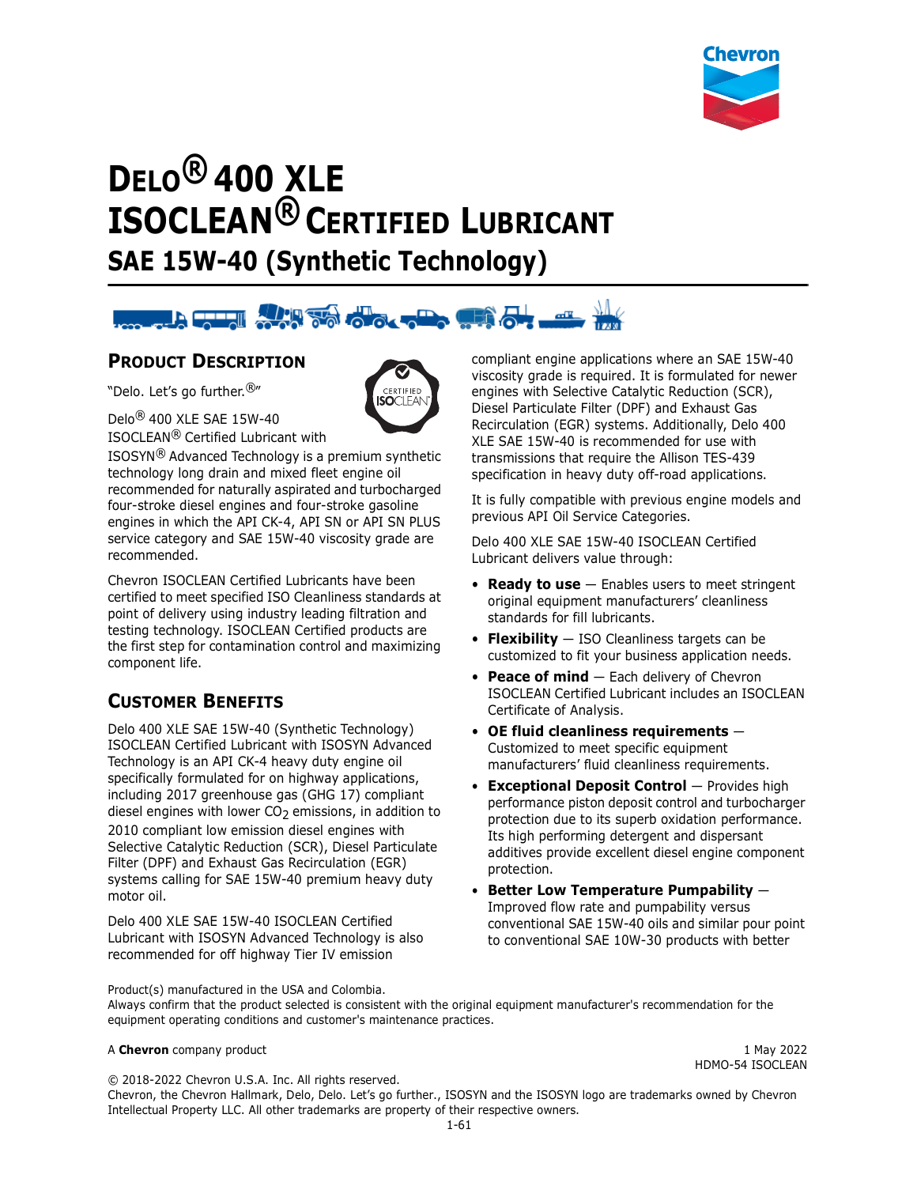

# **DELO® 400 XLE ISOCLEAN® CERTIFIED LUBRICANT SAE 15W-40 (Synthetic Technology)**



#### **PRODUCT DESCRIPTION**

"Delo. Let's go further.®"

Delo® 400 XLE SAE 15W-40 ISOCLEAN® Certified Lubricant with



ISOSYN® Advanced Technology is a premium synthetic technology long drain and mixed fleet engine oil recommended for naturally aspirated and turbocharged four-stroke diesel engines and four-stroke gasoline engines in which the API CK-4, API SN or API SN PLUS service category and SAE 15W-40 viscosity grade are recommended.

Chevron ISOCLEAN Certified Lubricants have been certified to meet specified ISO Cleanliness standards at point of delivery using industry leading filtration and testing technology. ISOCLEAN Certified products are the first step for contamination control and maximizing component life.

## **CUSTOMER BENEFITS**

Delo 400 XLE SAE 15W-40 (Synthetic Technology) ISOCLEAN Certified Lubricant with ISOSYN Advanced Technology is an API CK-4 heavy duty engine oil specifically formulated for on highway applications, including 2017 greenhouse gas (GHG 17) compliant diesel engines with lower  $CO<sub>2</sub>$  emissions, in addition to 2010 compliant low emission diesel engines with Selective Catalytic Reduction (SCR), Diesel Particulate Filter (DPF) and Exhaust Gas Recirculation (EGR) systems calling for SAE 15W-40 premium heavy duty motor oil.

Delo 400 XLE SAE 15W-40 ISOCLEAN Certified Lubricant with ISOSYN Advanced Technology is also recommended for off highway Tier IV emission

compliant engine applications where an SAE 15W-40 viscosity grade is required. It is formulated for newer engines with Selective Catalytic Reduction (SCR), Diesel Particulate Filter (DPF) and Exhaust Gas Recirculation (EGR) systems. Additionally, Delo 400 XLE SAE 15W-40 is recommended for use with transmissions that require the Allison TES-439 specification in heavy duty off-road applications.

It is fully compatible with previous engine models and previous API Oil Service Categories.

Delo 400 XLE SAE 15W-40 ISOCLEAN Certified Lubricant delivers value through:

- **Ready to use** Enables users to meet stringent original equipment manufacturers' cleanliness standards for fill lubricants.
- **Flexibility** ISO Cleanliness targets can be customized to fit your business application needs.
- **Peace of mind** Each delivery of Chevron ISOCLEAN Certified Lubricant includes an ISOCLEAN Certificate of Analysis.
- **OE fluid cleanliness requirements** Customized to meet specific equipment manufacturers' fluid cleanliness requirements.
- **Exceptional Deposit Control** Provides high performance piston deposit control and turbocharger protection due to its superb oxidation performance. Its high performing detergent and dispersant additives provide excellent diesel engine component protection.
- **Better Low Temperature Pumpability**  Improved flow rate and pumpability versus conventional SAE 15W-40 oils and similar pour point to conventional SAE 10W-30 products with better

Product(s) manufactured in the USA and Colombia. Always confirm that the product selected is consistent with the original equipment manufacturer's recommendation for the equipment operating conditions and customer's maintenance practices.

#### A **Chevron** company product 1 May 2022

HDMO-54 ISOCLEAN

© 2018-2022 Chevron U.S.A. Inc. All rights reserved. Chevron, the Chevron Hallmark, Delo, Delo. Let's go further., ISOSYN and the ISOSYN logo are trademarks owned by Chevron Intellectual Property LLC. All other trademarks are property of their respective owners.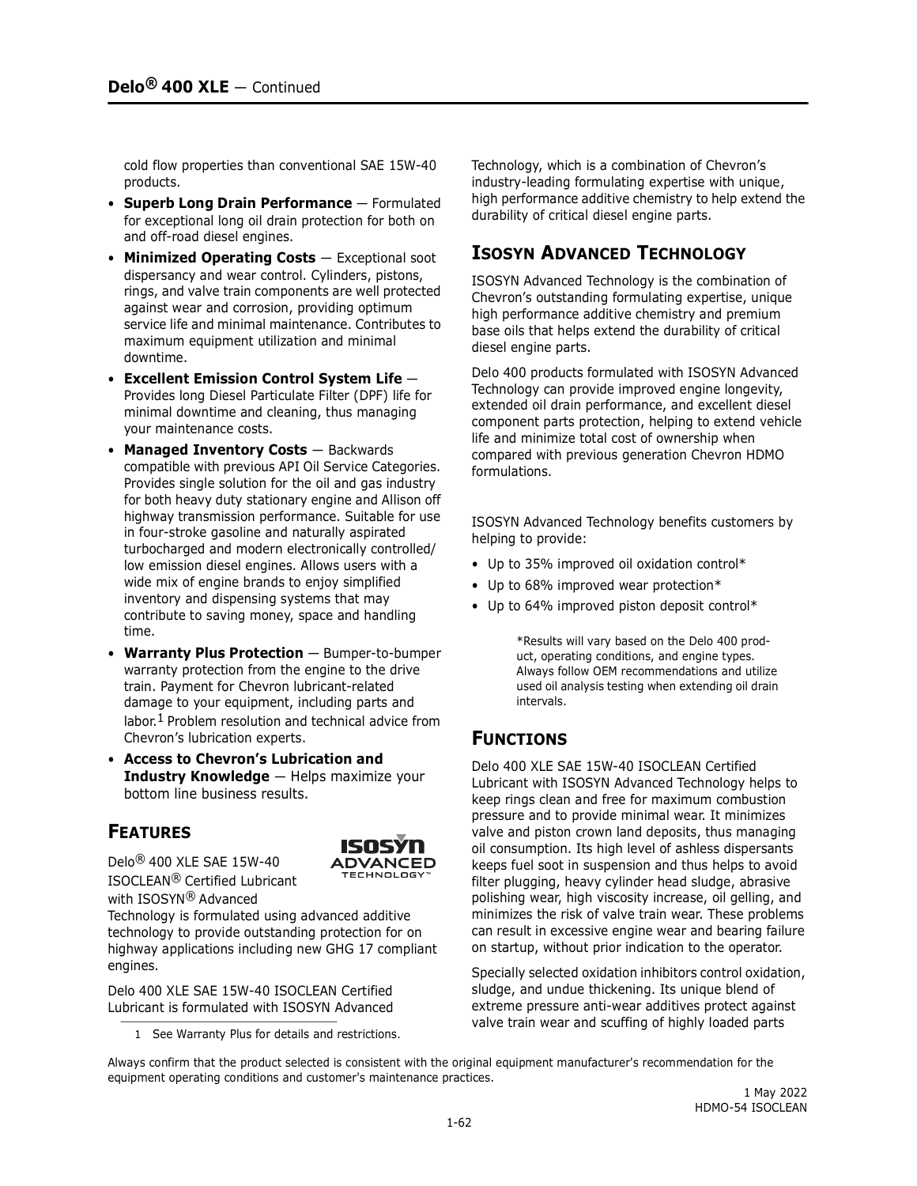cold flow properties than conventional SAE 15W-40 products.

- **Superb Long Drain Performance** Formulated for exceptional long oil drain protection for both on and off-road diesel engines.
- **Minimized Operating Costs**  Exceptional soot dispersancy and wear control. Cylinders, pistons, rings, and valve train components are well protected against wear and corrosion, providing optimum service life and minimal maintenance. Contributes to maximum equipment utilization and minimal downtime.
- **Excellent Emission Control System Life** Provides long Diesel Particulate Filter (DPF) life for minimal downtime and cleaning, thus managing your maintenance costs.
- **Managed Inventory Costs** Backwards compatible with previous API Oil Service Categories. Provides single solution for the oil and gas industry for both heavy duty stationary engine and Allison off highway transmission performance. Suitable for use in four-stroke gasoline and naturally aspirated turbocharged and modern electronically controlled/ low emission diesel engines. Allows users with a wide mix of engine brands to enjoy simplified inventory and dispensing systems that may contribute to saving money, space and handling time.
- **Warranty Plus Protection** Bumper-to-bumper warranty protection from the engine to the drive train. Payment for Chevron lubricant-related damage to your equipment, including parts and labor.<sup>1</sup> Problem resolution and technical advice from Chevron's lubrication experts.
- **Access to Chevron's Lubrication and Industry Knowledge** — Helps maximize your bottom line business results.

## **FEATURES**

Delo® 400 XLE SAE 15W-40 ISOCLEAN® Certified Lubricant with ISOSYN<sup>®</sup> Advanced



Technology is formulated using advanced additive technology to provide outstanding protection for on highway applications including new GHG 17 compliant engines.

Delo 400 XLE SAE 15W-40 ISOCLEAN Certified Lubricant is formulated with ISOSYN Advanced

1 See Warranty Plus for details and restrictions.

Technology, which is a combination of Chevron's industry-leading formulating expertise with unique, high performance additive chemistry to help extend the durability of critical diesel engine parts.

## **ISOSYN ADVANCED TECHNOLOGY**

ISOSYN Advanced Technology is the combination of Chevron's outstanding formulating expertise, unique high performance additive chemistry and premium base oils that helps extend the durability of critical diesel engine parts.

Delo 400 products formulated with ISOSYN Advanced Technology can provide improved engine longevity, extended oil drain performance, and excellent diesel component parts protection, helping to extend vehicle life and minimize total cost of ownership when compared with previous generation Chevron HDMO formulations.

ISOSYN Advanced Technology benefits customers by helping to provide:

- Up to 35% improved oil oxidation control\*
- Up to 68% improved wear protection\*
- Up to 64% improved piston deposit control\*

\*Results will vary based on the Delo 400 product, operating conditions, and engine types. Always follow OEM recommendations and utilize used oil analysis testing when extending oil drain intervals.

#### **FUNCTIONS**

Delo 400 XLE SAE 15W-40 ISOCLEAN Certified Lubricant with ISOSYN Advanced Technology helps to keep rings clean and free for maximum combustion pressure and to provide minimal wear. It minimizes valve and piston crown land deposits, thus managing oil consumption. Its high level of ashless dispersants keeps fuel soot in suspension and thus helps to avoid filter plugging, heavy cylinder head sludge, abrasive polishing wear, high viscosity increase, oil gelling, and minimizes the risk of valve train wear. These problems can result in excessive engine wear and bearing failure on startup, without prior indication to the operator.

Specially selected oxidation inhibitors control oxidation, sludge, and undue thickening. Its unique blend of extreme pressure anti-wear additives protect against valve train wear and scuffing of highly loaded parts

Always confirm that the product selected is consistent with the original equipment manufacturer's recommendation for the equipment operating conditions and customer's maintenance practices.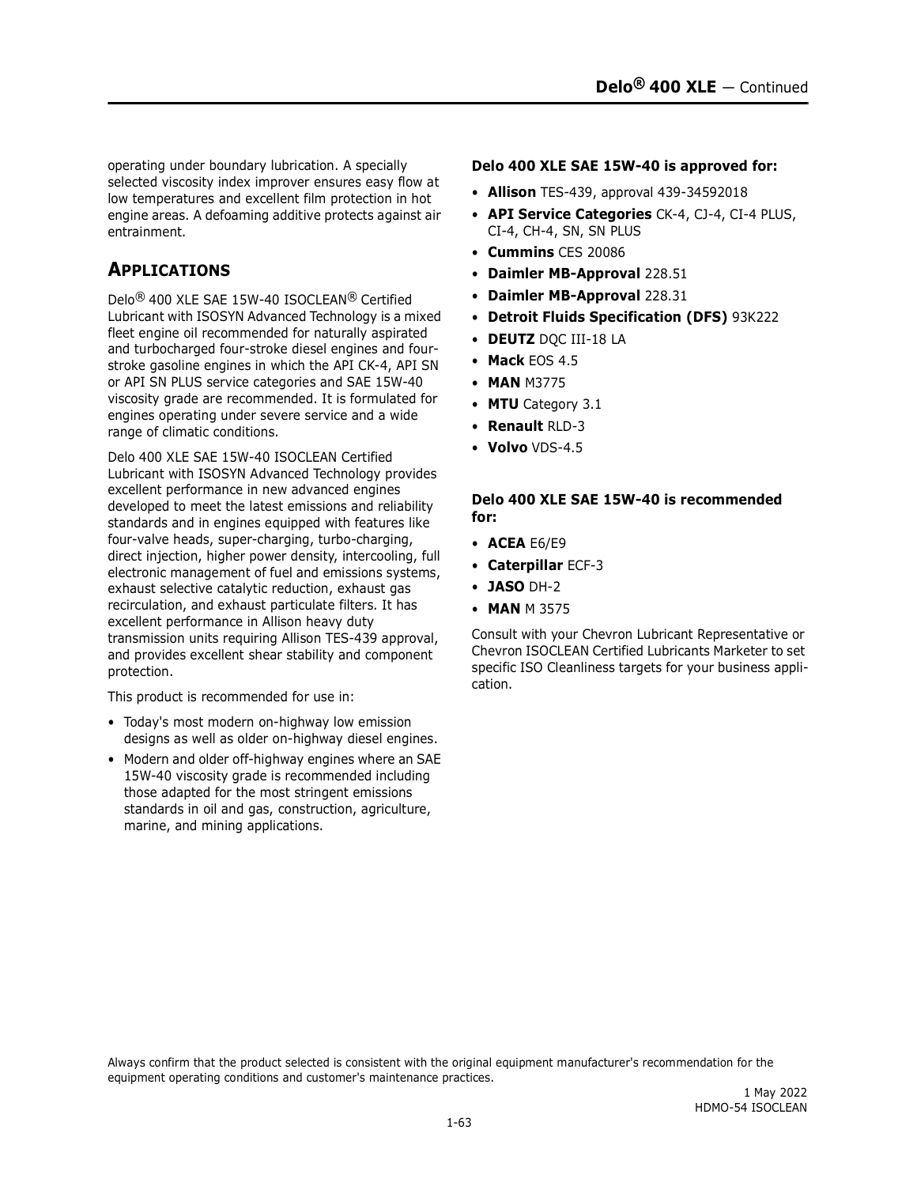operating under boundary lubrication. A specially selected viscosity index improver ensures easy flow at low temperatures and excellent film protection in hot engine areas. A defoaming additive protects against air entrainment.

### **APPLICATIONS**

Delo® 400 XLE SAE 15W-40 ISOCLEAN® Certified Lubricant with ISOSYN Advanced Technology is a mixed fleet engine oil recommended for naturally aspirated and turbocharged four-stroke diesel engines and fourstroke gasoline engines in which the API CK-4, API SN or API SN PLUS service categories and SAE 15W-40 viscosity grade are recommended. It is formulated for engines operating under severe service and a wide range of climatic conditions.

Delo 400 XLE SAE 15W-40 ISOCLEAN Certified Lubricant with ISOSYN Advanced Technology provides excellent performance in new advanced engines developed to meet the latest emissions and reliability standards and in engines equipped with features like four-valve heads, super-charging, turbo-charging, direct injection, higher power density, intercooling, full electronic management of fuel and emissions systems, exhaust selective catalytic reduction, exhaust gas recirculation, and exhaust particulate filters. It has excellent performance in Allison heavy duty transmission units requiring Allison TES-439 approval, and provides excellent shear stability and component protection.

This product is recommended for use in:

- Today's most modern on-highway low emission designs as well as older on-highway diesel engines.
- Modern and older off-highway engines where an SAE 15W-40 viscosity grade is recommended including those adapted for the most stringent emissions standards in oil and gas, construction, agriculture, marine, and mining applications.

#### **Delo 400 XLE SAE 15W-40 is approved for:**

- **Allison** TES-439, approval 439-34592018
- **API Service Categories** CK-4, CJ-4, CI-4 PLUS, CI-4, CH-4, SN, SN PLUS
- **Cummins** CES 20086
- **Daimler MB-Approval** 228.51
- **Daimler MB-Approval** 228.31
- **Detroit Fluids Specification (DFS)** 93K222
- **DEUTZ** DQC III-18 LA
- **Mack** EOS 4.5
- **MAN** M3775
- **MTU** Category 3.1
- **Renault** RLD-3
- **Volvo** VDS-4.5

#### **Delo 400 XLE SAE 15W-40 is recommended for:**

- **ACEA** E6/E9
- **Caterpillar** ECF-3
- **JASO** DH-2
- **MAN** M 3575

Consult with your Chevron Lubricant Representative or Chevron ISOCLEAN Certified Lubricants Marketer to set specific ISO Cleanliness targets for your business application.

Always confirm that the product selected is consistent with the original equipment manufacturer's recommendation for the equipment operating conditions and customer's maintenance practices.